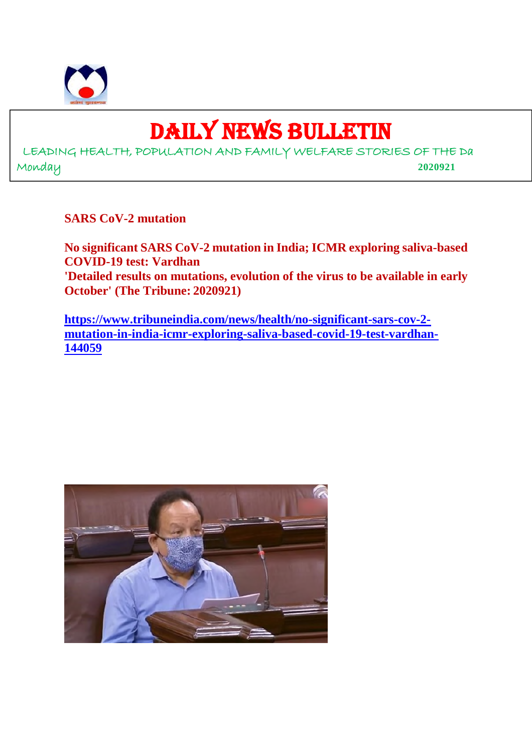

## DAILY NEWS BULLETIN

LEADING HEALTH, POPULATION AND FAMILY WELFARE STORIES OF THE Da Monday **2020921**

**SARS CoV-2 mutation**

**No significant SARS CoV-2 mutation in India; ICMR exploring saliva-based COVID-19 test: Vardhan 'Detailed results on mutations, evolution of the virus to be available in early October' (The Tribune: 2020921)**

**https://www.tribuneindia.com/news/health/no-significant-sars-cov-2 mutation-in-india-icmr-exploring-saliva-based-covid-19-test-vardhan-144059**

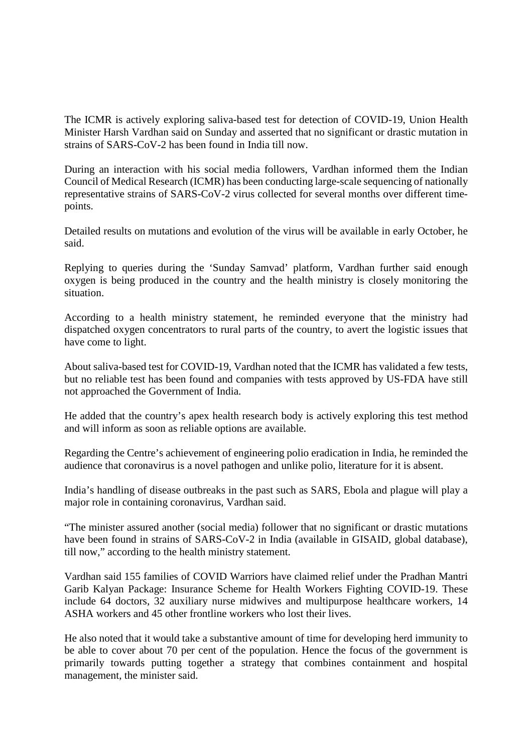The ICMR is actively exploring saliva-based test for detection of COVID-19, Union Health Minister Harsh Vardhan said on Sunday and asserted that no significant or drastic mutation in strains of SARS-CoV-2 has been found in India till now.

During an interaction with his social media followers, Vardhan informed them the Indian Council of Medical Research (ICMR) has been conducting large-scale sequencing of nationally representative strains of SARS-CoV-2 virus collected for several months over different timepoints.

Detailed results on mutations and evolution of the virus will be available in early October, he said.

Replying to queries during the 'Sunday Samvad' platform, Vardhan further said enough oxygen is being produced in the country and the health ministry is closely monitoring the situation.

According to a health ministry statement, he reminded everyone that the ministry had dispatched oxygen concentrators to rural parts of the country, to avert the logistic issues that have come to light.

About saliva-based test for COVID-19, Vardhan noted that the ICMR has validated a few tests, but no reliable test has been found and companies with tests approved by US-FDA have still not approached the Government of India.

He added that the country's apex health research body is actively exploring this test method and will inform as soon as reliable options are available.

Regarding the Centre's achievement of engineering polio eradication in India, he reminded the audience that coronavirus is a novel pathogen and unlike polio, literature for it is absent.

India's handling of disease outbreaks in the past such as SARS, Ebola and plague will play a major role in containing coronavirus, Vardhan said.

"The minister assured another (social media) follower that no significant or drastic mutations have been found in strains of SARS-CoV-2 in India (available in GISAID, global database), till now," according to the health ministry statement.

Vardhan said 155 families of COVID Warriors have claimed relief under the Pradhan Mantri Garib Kalyan Package: Insurance Scheme for Health Workers Fighting COVID-19. These include 64 doctors, 32 auxiliary nurse midwives and multipurpose healthcare workers, 14 ASHA workers and 45 other frontline workers who lost their lives.

He also noted that it would take a substantive amount of time for developing herd immunity to be able to cover about 70 per cent of the population. Hence the focus of the government is primarily towards putting together a strategy that combines containment and hospital management, the minister said.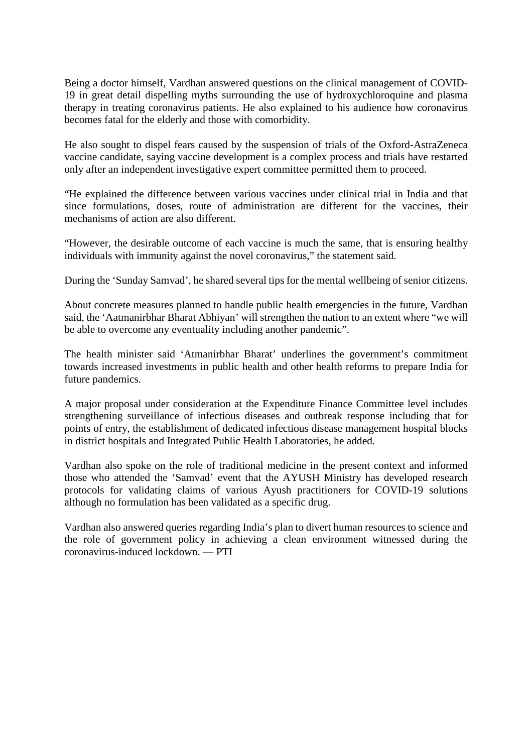Being a doctor himself, Vardhan answered questions on the clinical management of COVID-19 in great detail dispelling myths surrounding the use of hydroxychloroquine and plasma therapy in treating coronavirus patients. He also explained to his audience how coronavirus becomes fatal for the elderly and those with comorbidity.

He also sought to dispel fears caused by the suspension of trials of the Oxford-AstraZeneca vaccine candidate, saying vaccine development is a complex process and trials have restarted only after an independent investigative expert committee permitted them to proceed.

"He explained the difference between various vaccines under clinical trial in India and that since formulations, doses, route of administration are different for the vaccines, their mechanisms of action are also different.

"However, the desirable outcome of each vaccine is much the same, that is ensuring healthy individuals with immunity against the novel coronavirus," the statement said.

During the 'Sunday Samvad', he shared several tips for the mental wellbeing of senior citizens.

About concrete measures planned to handle public health emergencies in the future, Vardhan said, the 'Aatmanirbhar Bharat Abhiyan' will strengthen the nation to an extent where "we will be able to overcome any eventuality including another pandemic".

The health minister said 'Atmanirbhar Bharat' underlines the government's commitment towards increased investments in public health and other health reforms to prepare India for future pandemics.

A major proposal under consideration at the Expenditure Finance Committee level includes strengthening surveillance of infectious diseases and outbreak response including that for points of entry, the establishment of dedicated infectious disease management hospital blocks in district hospitals and Integrated Public Health Laboratories, he added.

Vardhan also spoke on the role of traditional medicine in the present context and informed those who attended the 'Samvad' event that the AYUSH Ministry has developed research protocols for validating claims of various Ayush practitioners for COVID-19 solutions although no formulation has been validated as a specific drug.

Vardhan also answered queries regarding India's plan to divert human resources to science and the role of government policy in achieving a clean environment witnessed during the coronavirus-induced lockdown. — PTI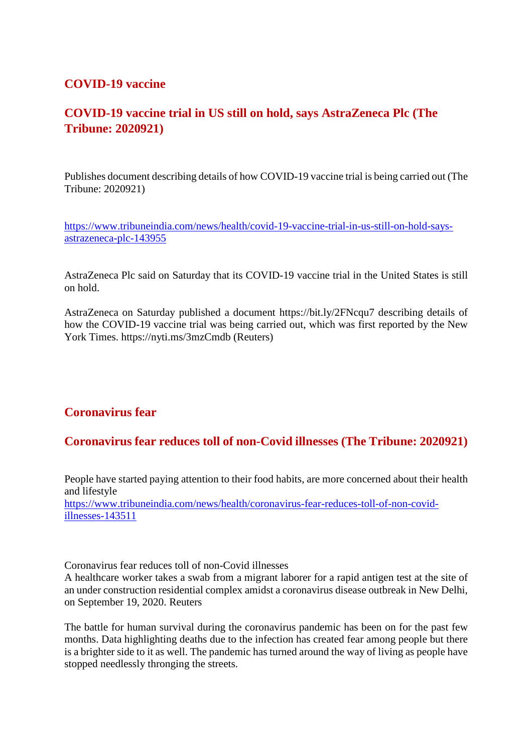#### **COVID-19 vaccine**

#### **COVID-19 vaccine trial in US still on hold, says AstraZeneca Plc (The Tribune: 2020921)**

Publishes document describing details of how COVID-19 vaccine trial is being carried out (The Tribune: 2020921)

https://www.tribuneindia.com/news/health/covid-19-vaccine-trial-in-us-still-on-hold-saysastrazeneca-plc-143955

AstraZeneca Plc said on Saturday that its COVID-19 vaccine trial in the United States is still on hold.

AstraZeneca on Saturday published a document https://bit.ly/2FNcqu7 describing details of how the COVID-19 vaccine trial was being carried out, which was first reported by the New York Times. https://nyti.ms/3mzCmdb (Reuters)

#### **Coronavirus fear**

#### **Coronavirus fear reduces toll of non-Covid illnesses (The Tribune: 2020921)**

People have started paying attention to their food habits, are more concerned about their health and lifestyle https://www.tribuneindia.com/news/health/coronavirus-fear-reduces-toll-of-non-covidillnesses-143511

Coronavirus fear reduces toll of non-Covid illnesses

A healthcare worker takes a swab from a migrant laborer for a rapid antigen test at the site of an under construction residential complex amidst a coronavirus disease outbreak in New Delhi, on September 19, 2020. Reuters

The battle for human survival during the coronavirus pandemic has been on for the past few months. Data highlighting deaths due to the infection has created fear among people but there is a brighter side to it as well. The pandemic has turned around the way of living as people have stopped needlessly thronging the streets.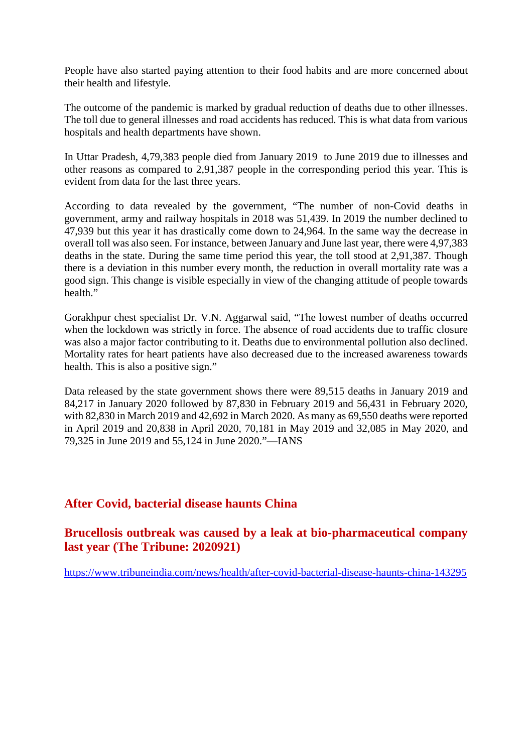People have also started paying attention to their food habits and are more concerned about their health and lifestyle.

The outcome of the pandemic is marked by gradual reduction of deaths due to other illnesses. The toll due to general illnesses and road accidents has reduced. This is what data from various hospitals and health departments have shown.

In Uttar Pradesh, 4,79,383 people died from January 2019 to June 2019 due to illnesses and other reasons as compared to 2,91,387 people in the corresponding period this year. This is evident from data for the last three years.

According to data revealed by the government, "The number of non-Covid deaths in government, army and railway hospitals in 2018 was 51,439. In 2019 the number declined to 47,939 but this year it has drastically come down to 24,964. In the same way the decrease in overall toll was also seen. For instance, between January and June last year, there were 4,97,383 deaths in the state. During the same time period this year, the toll stood at 2,91,387. Though there is a deviation in this number every month, the reduction in overall mortality rate was a good sign. This change is visible especially in view of the changing attitude of people towards health."

Gorakhpur chest specialist Dr. V.N. Aggarwal said, "The lowest number of deaths occurred when the lockdown was strictly in force. The absence of road accidents due to traffic closure was also a major factor contributing to it. Deaths due to environmental pollution also declined. Mortality rates for heart patients have also decreased due to the increased awareness towards health. This is also a positive sign."

Data released by the state government shows there were 89,515 deaths in January 2019 and 84,217 in January 2020 followed by 87,830 in February 2019 and 56,431 in February 2020, with 82,830 in March 2019 and 42,692 in March 2020. As many as 69,550 deaths were reported in April 2019 and 20,838 in April 2020, 70,181 in May 2019 and 32,085 in May 2020, and 79,325 in June 2019 and 55,124 in June 2020."—IANS

#### **After Covid, bacterial disease haunts China**

#### **Brucellosis outbreak was caused by a leak at bio-pharmaceutical company last year (The Tribune: 2020921)**

https://www.tribuneindia.com/news/health/after-covid-bacterial-disease-haunts-china-143295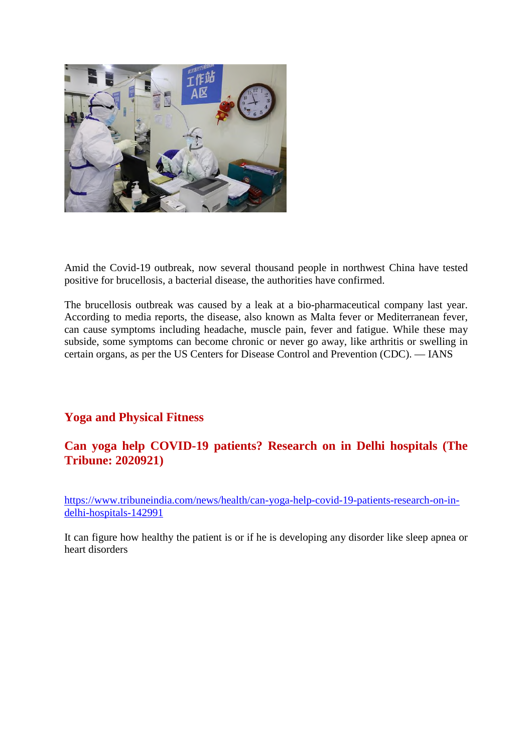

Amid the Covid-19 outbreak, now several thousand people in northwest China have tested positive for brucellosis, a bacterial disease, the authorities have confirmed.

The brucellosis outbreak was caused by a leak at a bio-pharmaceutical company last year. According to media reports, the disease, also known as Malta fever or Mediterranean fever, can cause symptoms including headache, muscle pain, fever and fatigue. While these may subside, some symptoms can become chronic or never go away, like arthritis or swelling in certain organs, as per the US Centers for Disease Control and Prevention (CDC). — IANS

#### **Yoga and Physical Fitness**

#### **Can yoga help COVID-19 patients? Research on in Delhi hospitals (The Tribune: 2020921)**

https://www.tribuneindia.com/news/health/can-yoga-help-covid-19-patients-research-on-indelhi-hospitals-142991

It can figure how healthy the patient is or if he is developing any disorder like sleep apnea or heart disorders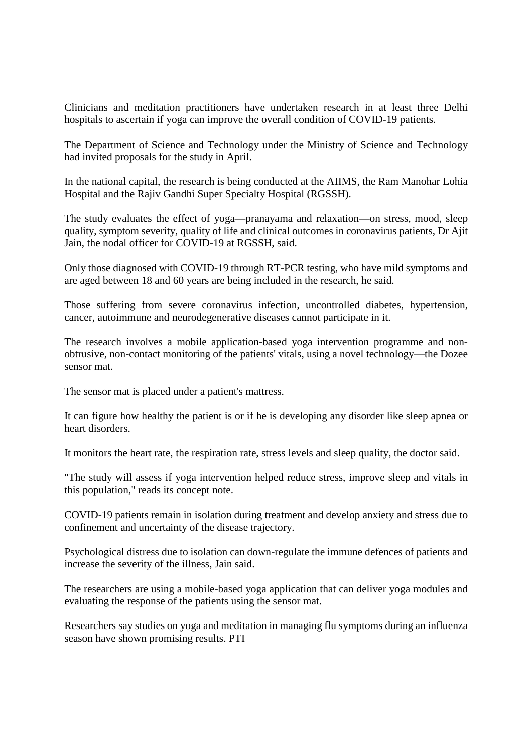Clinicians and meditation practitioners have undertaken research in at least three Delhi hospitals to ascertain if yoga can improve the overall condition of COVID-19 patients.

The Department of Science and Technology under the Ministry of Science and Technology had invited proposals for the study in April.

In the national capital, the research is being conducted at the AIIMS, the Ram Manohar Lohia Hospital and the Rajiv Gandhi Super Specialty Hospital (RGSSH).

The study evaluates the effect of yoga—pranayama and relaxation—on stress, mood, sleep quality, symptom severity, quality of life and clinical outcomes in coronavirus patients, Dr Ajit Jain, the nodal officer for COVID-19 at RGSSH, said.

Only those diagnosed with COVID-19 through RT-PCR testing, who have mild symptoms and are aged between 18 and 60 years are being included in the research, he said.

Those suffering from severe coronavirus infection, uncontrolled diabetes, hypertension, cancer, autoimmune and neurodegenerative diseases cannot participate in it.

The research involves a mobile application-based yoga intervention programme and nonobtrusive, non-contact monitoring of the patients' vitals, using a novel technology—the Dozee sensor mat.

The sensor mat is placed under a patient's mattress.

It can figure how healthy the patient is or if he is developing any disorder like sleep apnea or heart disorders.

It monitors the heart rate, the respiration rate, stress levels and sleep quality, the doctor said.

"The study will assess if yoga intervention helped reduce stress, improve sleep and vitals in this population," reads its concept note.

COVID-19 patients remain in isolation during treatment and develop anxiety and stress due to confinement and uncertainty of the disease trajectory.

Psychological distress due to isolation can down-regulate the immune defences of patients and increase the severity of the illness, Jain said.

The researchers are using a mobile-based yoga application that can deliver yoga modules and evaluating the response of the patients using the sensor mat.

Researchers say studies on yoga and meditation in managing flu symptoms during an influenza season have shown promising results. PTI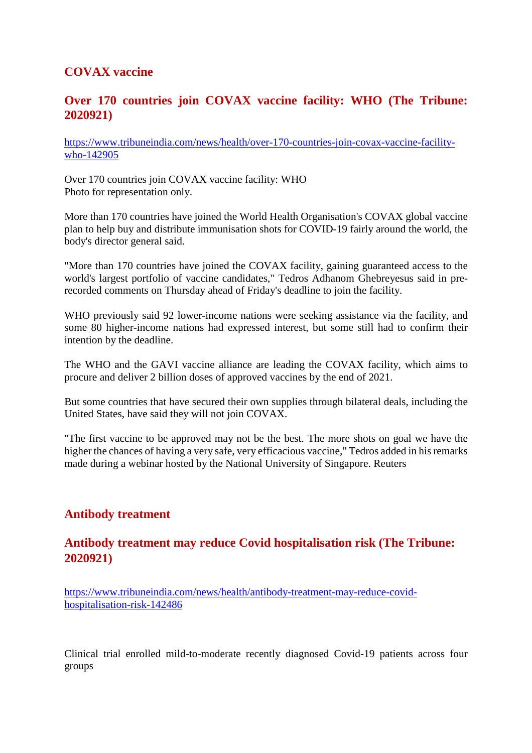#### **COVAX vaccine**

#### **Over 170 countries join COVAX vaccine facility: WHO (The Tribune: 2020921)**

https://www.tribuneindia.com/news/health/over-170-countries-join-covax-vaccine-facilitywho-142905

Over 170 countries join COVAX vaccine facility: WHO Photo for representation only.

More than 170 countries have joined the World Health Organisation's COVAX global vaccine plan to help buy and distribute immunisation shots for COVID-19 fairly around the world, the body's director general said.

"More than 170 countries have joined the COVAX facility, gaining guaranteed access to the world's largest portfolio of vaccine candidates," Tedros Adhanom Ghebreyesus said in prerecorded comments on Thursday ahead of Friday's deadline to join the facility.

WHO previously said 92 lower-income nations were seeking assistance via the facility, and some 80 higher-income nations had expressed interest, but some still had to confirm their intention by the deadline.

The WHO and the GAVI vaccine alliance are leading the COVAX facility, which aims to procure and deliver 2 billion doses of approved vaccines by the end of 2021.

But some countries that have secured their own supplies through bilateral deals, including the United States, have said they will not join COVAX.

"The first vaccine to be approved may not be the best. The more shots on goal we have the higher the chances of having a very safe, very efficacious vaccine," Tedros added in his remarks made during a webinar hosted by the National University of Singapore. Reuters

#### **Antibody treatment**

#### **Antibody treatment may reduce Covid hospitalisation risk (The Tribune: 2020921)**

https://www.tribuneindia.com/news/health/antibody-treatment-may-reduce-covidhospitalisation-risk-142486

Clinical trial enrolled mild-to-moderate recently diagnosed Covid-19 patients across four groups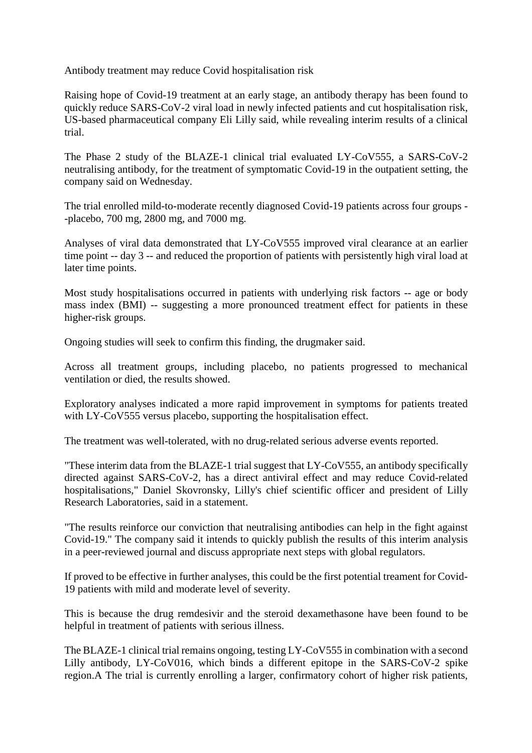Antibody treatment may reduce Covid hospitalisation risk

Raising hope of Covid-19 treatment at an early stage, an antibody therapy has been found to quickly reduce SARS-CoV-2 viral load in newly infected patients and cut hospitalisation risk, US-based pharmaceutical company Eli Lilly said, while revealing interim results of a clinical trial.

The Phase 2 study of the BLAZE-1 clinical trial evaluated LY-CoV555, a SARS-CoV-2 neutralising antibody, for the treatment of symptomatic Covid-19 in the outpatient setting, the company said on Wednesday.

The trial enrolled mild-to-moderate recently diagnosed Covid-19 patients across four groups - -placebo, 700 mg, 2800 mg, and 7000 mg.

Analyses of viral data demonstrated that LY-CoV555 improved viral clearance at an earlier time point -- day 3 -- and reduced the proportion of patients with persistently high viral load at later time points.

Most study hospitalisations occurred in patients with underlying risk factors -- age or body mass index (BMI) -- suggesting a more pronounced treatment effect for patients in these higher-risk groups.

Ongoing studies will seek to confirm this finding, the drugmaker said.

Across all treatment groups, including placebo, no patients progressed to mechanical ventilation or died, the results showed.

Exploratory analyses indicated a more rapid improvement in symptoms for patients treated with LY-CoV555 versus placebo, supporting the hospitalisation effect.

The treatment was well-tolerated, with no drug-related serious adverse events reported.

"These interim data from the BLAZE-1 trial suggest that LY-CoV555, an antibody specifically directed against SARS-CoV-2, has a direct antiviral effect and may reduce Covid-related hospitalisations," Daniel Skovronsky, Lilly's chief scientific officer and president of Lilly Research Laboratories, said in a statement.

"The results reinforce our conviction that neutralising antibodies can help in the fight against Covid-19." The company said it intends to quickly publish the results of this interim analysis in a peer-reviewed journal and discuss appropriate next steps with global regulators.

If proved to be effective in further analyses, this could be the first potential treament for Covid-19 patients with mild and moderate level of severity.

This is because the drug remdesivir and the steroid dexamethasone have been found to be helpful in treatment of patients with serious illness.

The BLAZE-1 clinical trial remains ongoing, testing LY-CoV555 in combination with a second Lilly antibody, LY-CoV016, which binds a different epitope in the SARS-CoV-2 spike region.A The trial is currently enrolling a larger, confirmatory cohort of higher risk patients,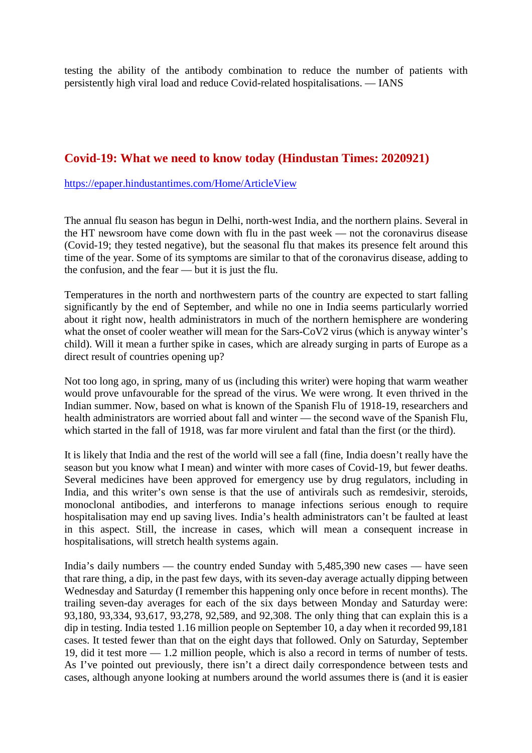testing the ability of the antibody combination to reduce the number of patients with persistently high viral load and reduce Covid-related hospitalisations. — IANS

#### **Covid-19: What we need to know today (Hindustan Times: 2020921)**

https://epaper.hindustantimes.com/Home/ArticleView

The annual flu season has begun in Delhi, north-west India, and the northern plains. Several in the HT newsroom have come down with flu in the past week — not the coronavirus disease (Covid-19; they tested negative), but the seasonal flu that makes its presence felt around this time of the year. Some of its symptoms are similar to that of the coronavirus disease, adding to the confusion, and the fear — but it is just the flu.

Temperatures in the north and northwestern parts of the country are expected to start falling significantly by the end of September, and while no one in India seems particularly worried about it right now, health administrators in much of the northern hemisphere are wondering what the onset of cooler weather will mean for the Sars-CoV2 virus (which is anyway winter's child). Will it mean a further spike in cases, which are already surging in parts of Europe as a direct result of countries opening up?

Not too long ago, in spring, many of us (including this writer) were hoping that warm weather would prove unfavourable for the spread of the virus. We were wrong. It even thrived in the Indian summer. Now, based on what is known of the Spanish Flu of 1918-19, researchers and health administrators are worried about fall and winter — the second wave of the Spanish Flu, which started in the fall of 1918, was far more virulent and fatal than the first (or the third).

It is likely that India and the rest of the world will see a fall (fine, India doesn't really have the season but you know what I mean) and winter with more cases of Covid-19, but fewer deaths. Several medicines have been approved for emergency use by drug regulators, including in India, and this writer's own sense is that the use of antivirals such as remdesivir, steroids, monoclonal antibodies, and interferons to manage infections serious enough to require hospitalisation may end up saving lives. India's health administrators can't be faulted at least in this aspect. Still, the increase in cases, which will mean a consequent increase in hospitalisations, will stretch health systems again.

India's daily numbers — the country ended Sunday with 5,485,390 new cases — have seen that rare thing, a dip, in the past few days, with its seven-day average actually dipping between Wednesday and Saturday (I remember this happening only once before in recent months). The trailing seven-day averages for each of the six days between Monday and Saturday were: 93,180, 93,334, 93,617, 93,278, 92,589, and 92,308. The only thing that can explain this is a dip in testing. India tested 1.16 million people on September 10, a day when it recorded 99,181 cases. It tested fewer than that on the eight days that followed. Only on Saturday, September 19, did it test more — 1.2 million people, which is also a record in terms of number of tests. As I've pointed out previously, there isn't a direct daily correspondence between tests and cases, although anyone looking at numbers around the world assumes there is (and it is easier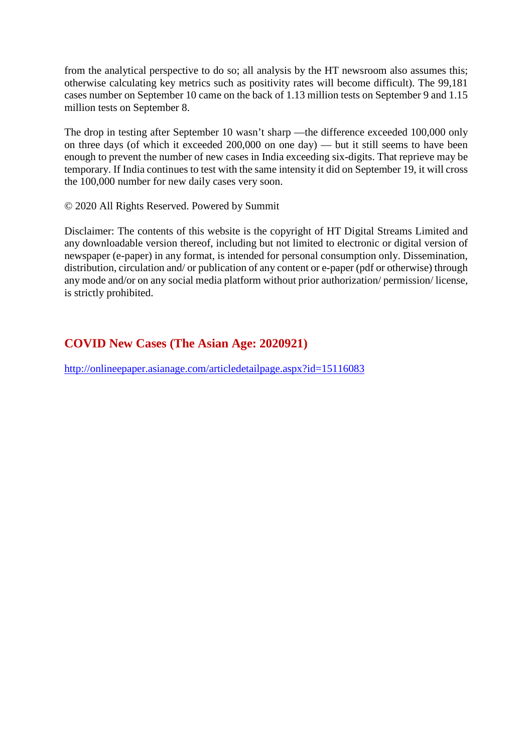from the analytical perspective to do so; all analysis by the HT newsroom also assumes this; otherwise calculating key metrics such as positivity rates will become difficult). The 99,181 cases number on September 10 came on the back of 1.13 million tests on September 9 and 1.15 million tests on September 8.

The drop in testing after September 10 wasn't sharp —the difference exceeded 100,000 only on three days (of which it exceeded 200,000 on one day) — but it still seems to have been enough to prevent the number of new cases in India exceeding six-digits. That reprieve may be temporary. If India continues to test with the same intensity it did on September 19, it will cross the 100,000 number for new daily cases very soon.

#### © 2020 All Rights Reserved. Powered by Summit

Disclaimer: The contents of this website is the copyright of HT Digital Streams Limited and any downloadable version thereof, including but not limited to electronic or digital version of newspaper (e-paper) in any format, is intended for personal consumption only. Dissemination, distribution, circulation and/ or publication of any content or e-paper (pdf or otherwise) through any mode and/or on any social media platform without prior authorization/ permission/ license, is strictly prohibited.

#### **COVID New Cases (The Asian Age: 2020921)**

http://onlineepaper.asianage.com/articledetailpage.aspx?id=15116083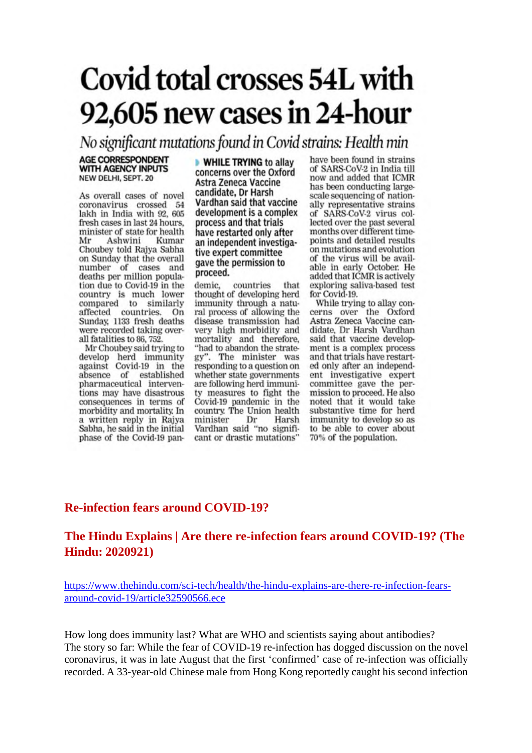## **Covid total crosses 54L with** 92,605 new cases in 24-hour

No significant mutations found in Covid strains: Health min

#### **AGE CORRESPONDENT** WITH AGENCY INPUTS NEW DELHI, SEPT. 20

As overall cases of novel coronavirus crossed 54 lakh in India with 92, 605 fresh cases in last 24 hours. minister of state for health Mr Ashwini Kumar Choubey told Rajya Sabha on Sunday that the overall number of cases and deaths per million population due to Covid-19 in the country is much lower compared to similarly countries. On affected Sunday, 1133 fresh deaths were recorded taking overall fatalities to 86, 752.

Mr Choubey said trying to develop herd immunity against Covid-19 in the absence of established pharmaceutical interventions may have disastrous consequences in terms of morbidity and mortality. In a written reply in Rajya Sabha, he said in the initial phase of the Covid-19 pan**WHILE TRYING to allay** concerns over the Oxford Astra Zeneca Vaccine candidate, Dr Harsh Vardhan said that vaccine development is a complex process and that trials have restarted only after an independent investigative expert committee gave the permission to proceed.

demic, countries that thought of developing herd immunity through a natural process of allowing the disease transmission had very high morbidity and mortality and therefore, "had to abandon the strategy". The minister was responding to a question on whether state governments are following herd immunity measures to fight the Covid-19 pandemic in the country. The Union health Dr minister Harsh Vardhan said "no significant or drastic mutations"

have been found in strains of SARS-CoV-2 in India till now and added that ICMR has been conducting largescale sequencing of nationally representative strains of SARS-CoV-2 virus collected over the past several months over different timepoints and detailed results on mutations and evolution of the virus will be available in early October. He added that ICMR is actively exploring saliva-based test for Covid-19.

While trying to allay concerns over the Oxford Astra Zeneca Vaccine candidate, Dr Harsh Vardhan said that vaccine development is a complex process and that trials have restarted only after an independent investigative expert committee gave the permission to proceed. He also noted that it would take substantive time for herd immunity to develop so as to be able to cover about 70% of the population.

#### **Re-infection fears around COVID-19?**

#### **The Hindu Explains | Are there re-infection fears around COVID-19? (The Hindu: 2020921)**

https://www.thehindu.com/sci-tech/health/the-hindu-explains-are-there-re-infection-fearsaround-covid-19/article32590566.ece

How long does immunity last? What are WHO and scientists saying about antibodies? The story so far: While the fear of COVID-19 re-infection has dogged discussion on the novel coronavirus, it was in late August that the first 'confirmed' case of re-infection was officially recorded. A 33-year-old Chinese male from Hong Kong reportedly caught his second infection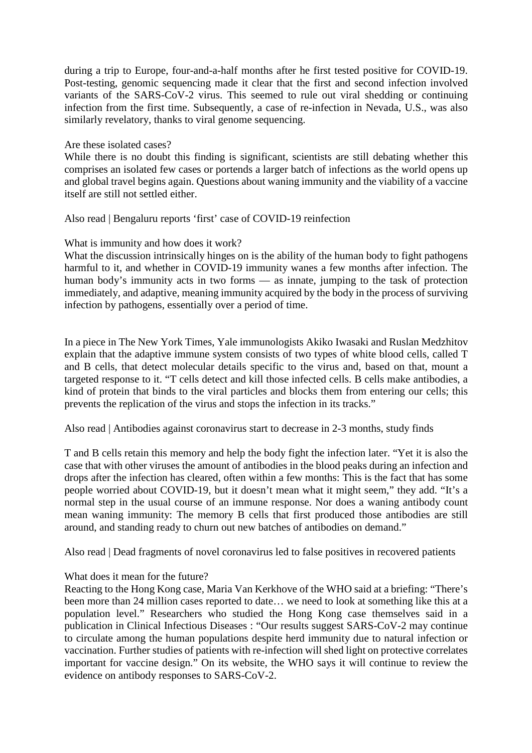during a trip to Europe, four-and-a-half months after he first tested positive for COVID-19. Post-testing, genomic sequencing made it clear that the first and second infection involved variants of the SARS-CoV-2 virus. This seemed to rule out viral shedding or continuing infection from the first time. Subsequently, a case of re-infection in Nevada, U.S., was also similarly revelatory, thanks to viral genome sequencing.

#### Are these isolated cases?

While there is no doubt this finding is significant, scientists are still debating whether this comprises an isolated few cases or portends a larger batch of infections as the world opens up and global travel begins again. Questions about waning immunity and the viability of a vaccine itself are still not settled either.

Also read | Bengaluru reports 'first' case of COVID-19 reinfection

What is immunity and how does it work?

What the discussion intrinsically hinges on is the ability of the human body to fight pathogens harmful to it, and whether in COVID-19 immunity wanes a few months after infection. The human body's immunity acts in two forms — as innate, jumping to the task of protection immediately, and adaptive, meaning immunity acquired by the body in the process of surviving infection by pathogens, essentially over a period of time.

In a piece in The New York Times, Yale immunologists Akiko Iwasaki and Ruslan Medzhitov explain that the adaptive immune system consists of two types of white blood cells, called T and B cells, that detect molecular details specific to the virus and, based on that, mount a targeted response to it. "T cells detect and kill those infected cells. B cells make antibodies, a kind of protein that binds to the viral particles and blocks them from entering our cells; this prevents the replication of the virus and stops the infection in its tracks."

Also read | Antibodies against coronavirus start to decrease in 2-3 months, study finds

T and B cells retain this memory and help the body fight the infection later. "Yet it is also the case that with other viruses the amount of antibodies in the blood peaks during an infection and drops after the infection has cleared, often within a few months: This is the fact that has some people worried about COVID-19, but it doesn't mean what it might seem," they add. "It's a normal step in the usual course of an immune response. Nor does a waning antibody count mean waning immunity: The memory B cells that first produced those antibodies are still around, and standing ready to churn out new batches of antibodies on demand."

Also read | Dead fragments of novel coronavirus led to false positives in recovered patients

#### What does it mean for the future?

Reacting to the Hong Kong case, Maria Van Kerkhove of the WHO said at a briefing: "There's been more than 24 million cases reported to date… we need to look at something like this at a population level." Researchers who studied the Hong Kong case themselves said in a publication in Clinical Infectious Diseases : "Our results suggest SARS-CoV-2 may continue to circulate among the human populations despite herd immunity due to natural infection or vaccination. Further studies of patients with re-infection will shed light on protective correlates important for vaccine design." On its website, the WHO says it will continue to review the evidence on antibody responses to SARS-CoV-2.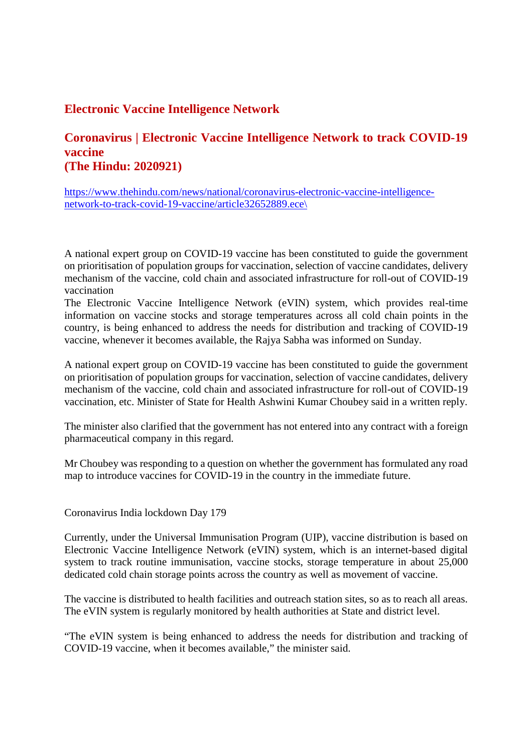#### **Electronic Vaccine Intelligence Network**

#### **Coronavirus | Electronic Vaccine Intelligence Network to track COVID-19 vaccine (The Hindu: 2020921)**

https://www.thehindu.com/news/national/coronavirus-electronic-vaccine-intelligencenetwork-to-track-covid-19-vaccine/article32652889.ece\

A national expert group on COVID-19 vaccine has been constituted to guide the government on prioritisation of population groups for vaccination, selection of vaccine candidates, delivery mechanism of the vaccine, cold chain and associated infrastructure for roll-out of COVID-19 vaccination

The Electronic Vaccine Intelligence Network (eVIN) system, which provides real-time information on vaccine stocks and storage temperatures across all cold chain points in the country, is being enhanced to address the needs for distribution and tracking of COVID-19 vaccine, whenever it becomes available, the Rajya Sabha was informed on Sunday.

A national expert group on COVID-19 vaccine has been constituted to guide the government on prioritisation of population groups for vaccination, selection of vaccine candidates, delivery mechanism of the vaccine, cold chain and associated infrastructure for roll-out of COVID-19 vaccination, etc. Minister of State for Health Ashwini Kumar Choubey said in a written reply.

The minister also clarified that the government has not entered into any contract with a foreign pharmaceutical company in this regard.

Mr Choubey was responding to a question on whether the government has formulated any road map to introduce vaccines for COVID-19 in the country in the immediate future.

Coronavirus India lockdown Day 179

Currently, under the Universal Immunisation Program (UIP), vaccine distribution is based on Electronic Vaccine Intelligence Network (eVIN) system, which is an internet-based digital system to track routine immunisation, vaccine stocks, storage temperature in about 25,000 dedicated cold chain storage points across the country as well as movement of vaccine.

The vaccine is distributed to health facilities and outreach station sites, so as to reach all areas. The eVIN system is regularly monitored by health authorities at State and district level.

"The eVIN system is being enhanced to address the needs for distribution and tracking of COVID-19 vaccine, when it becomes available," the minister said.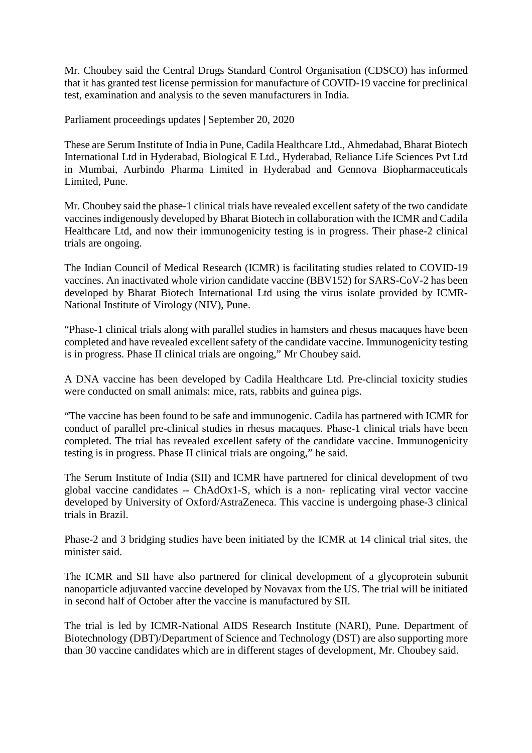Mr. Choubey said the Central Drugs Standard Control Organisation (CDSCO) has informed that it has granted test license permission for manufacture of COVID-19 vaccine for preclinical test, examination and analysis to the seven manufacturers in India.

Parliament proceedings updates | September 20, 2020

These are Serum Institute of India in Pune, Cadila Healthcare Ltd., Ahmedabad, Bharat Biotech International Ltd in Hyderabad, Biological E Ltd., Hyderabad, Reliance Life Sciences Pvt Ltd in Mumbai, Aurbindo Pharma Limited in Hyderabad and Gennova Biopharmaceuticals Limited, Pune.

Mr. Choubey said the phase-1 clinical trials have revealed excellent safety of the two candidate vaccines indigenously developed by Bharat Biotech in collaboration with the ICMR and Cadila Healthcare Ltd, and now their immunogenicity testing is in progress. Their phase-2 clinical trials are ongoing.

The Indian Council of Medical Research (ICMR) is facilitating studies related to COVID-19 vaccines. An inactivated whole virion candidate vaccine (BBV152) for SARS-CoV-2 has been developed by Bharat Biotech International Ltd using the virus isolate provided by ICMR-National Institute of Virology (NIV), Pune.

"Phase-1 clinical trials along with parallel studies in hamsters and rhesus macaques have been completed and have revealed excellent safety of the candidate vaccine. Immunogenicity testing is in progress. Phase II clinical trials are ongoing," Mr Choubey said.

A DNA vaccine has been developed by Cadila Healthcare Ltd. Pre-clincial toxicity studies were conducted on small animals: mice, rats, rabbits and guinea pigs.

"The vaccine has been found to be safe and immunogenic. Cadila has partnered with ICMR for conduct of parallel pre-clinical studies in rhesus macaques. Phase-1 clinical trials have been completed. The trial has revealed excellent safety of the candidate vaccine. Immunogenicity testing is in progress. Phase II clinical trials are ongoing," he said.

The Serum Institute of India (SII) and ICMR have partnered for clinical development of two global vaccine candidates -- ChAdOx1-S, which is a non- replicating viral vector vaccine developed by University of Oxford/AstraZeneca. This vaccine is undergoing phase-3 clinical trials in Brazil.

Phase-2 and 3 bridging studies have been initiated by the ICMR at 14 clinical trial sites, the minister said.

The ICMR and SII have also partnered for clinical development of a glycoprotein subunit nanoparticle adjuvanted vaccine developed by Novavax from the US. The trial will be initiated in second half of October after the vaccine is manufactured by SII.

The trial is led by ICMR-National AIDS Research Institute (NARI), Pune. Department of Biotechnology (DBT)/Department of Science and Technology (DST) are also supporting more than 30 vaccine candidates which are in different stages of development, Mr. Choubey said.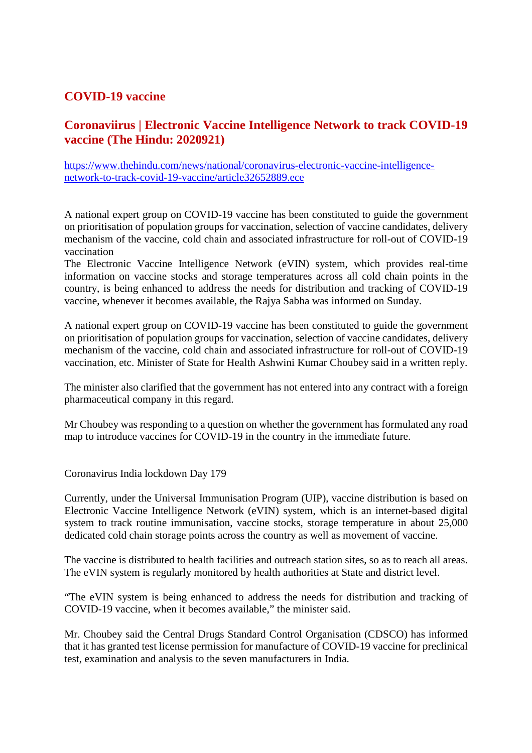#### **COVID-19 vaccine**

#### **Coronaviirus | Electronic Vaccine Intelligence Network to track COVID-19 vaccine (The Hindu: 2020921)**

https://www.thehindu.com/news/national/coronavirus-electronic-vaccine-intelligencenetwork-to-track-covid-19-vaccine/article32652889.ece

A national expert group on COVID-19 vaccine has been constituted to guide the government on prioritisation of population groups for vaccination, selection of vaccine candidates, delivery mechanism of the vaccine, cold chain and associated infrastructure for roll-out of COVID-19 vaccination

The Electronic Vaccine Intelligence Network (eVIN) system, which provides real-time information on vaccine stocks and storage temperatures across all cold chain points in the country, is being enhanced to address the needs for distribution and tracking of COVID-19 vaccine, whenever it becomes available, the Rajya Sabha was informed on Sunday.

A national expert group on COVID-19 vaccine has been constituted to guide the government on prioritisation of population groups for vaccination, selection of vaccine candidates, delivery mechanism of the vaccine, cold chain and associated infrastructure for roll-out of COVID-19 vaccination, etc. Minister of State for Health Ashwini Kumar Choubey said in a written reply.

The minister also clarified that the government has not entered into any contract with a foreign pharmaceutical company in this regard.

Mr Choubey was responding to a question on whether the government has formulated any road map to introduce vaccines for COVID-19 in the country in the immediate future.

Coronavirus India lockdown Day 179

Currently, under the Universal Immunisation Program (UIP), vaccine distribution is based on Electronic Vaccine Intelligence Network (eVIN) system, which is an internet-based digital system to track routine immunisation, vaccine stocks, storage temperature in about 25,000 dedicated cold chain storage points across the country as well as movement of vaccine.

The vaccine is distributed to health facilities and outreach station sites, so as to reach all areas. The eVIN system is regularly monitored by health authorities at State and district level.

"The eVIN system is being enhanced to address the needs for distribution and tracking of COVID-19 vaccine, when it becomes available," the minister said.

Mr. Choubey said the Central Drugs Standard Control Organisation (CDSCO) has informed that it has granted test license permission for manufacture of COVID-19 vaccine for preclinical test, examination and analysis to the seven manufacturers in India.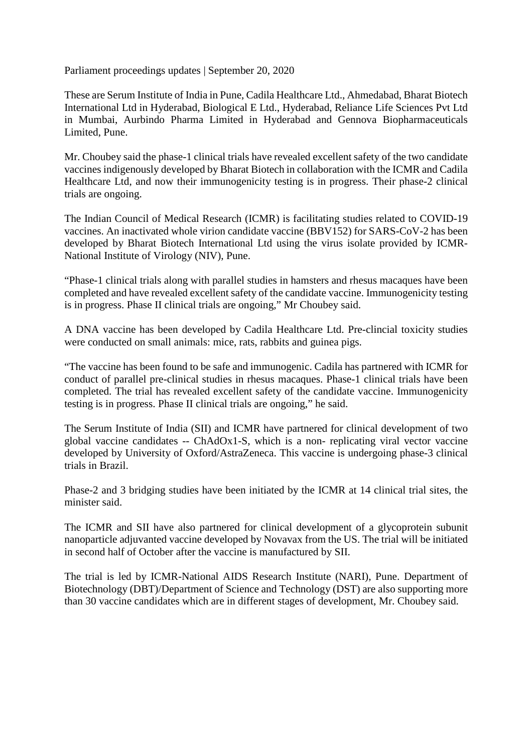Parliament proceedings updates | September 20, 2020

These are Serum Institute of India in Pune, Cadila Healthcare Ltd., Ahmedabad, Bharat Biotech International Ltd in Hyderabad, Biological E Ltd., Hyderabad, Reliance Life Sciences Pvt Ltd in Mumbai, Aurbindo Pharma Limited in Hyderabad and Gennova Biopharmaceuticals Limited, Pune.

Mr. Choubey said the phase-1 clinical trials have revealed excellent safety of the two candidate vaccines indigenously developed by Bharat Biotech in collaboration with the ICMR and Cadila Healthcare Ltd, and now their immunogenicity testing is in progress. Their phase-2 clinical trials are ongoing.

The Indian Council of Medical Research (ICMR) is facilitating studies related to COVID-19 vaccines. An inactivated whole virion candidate vaccine (BBV152) for SARS-CoV-2 has been developed by Bharat Biotech International Ltd using the virus isolate provided by ICMR-National Institute of Virology (NIV), Pune.

"Phase-1 clinical trials along with parallel studies in hamsters and rhesus macaques have been completed and have revealed excellent safety of the candidate vaccine. Immunogenicity testing is in progress. Phase II clinical trials are ongoing," Mr Choubey said.

A DNA vaccine has been developed by Cadila Healthcare Ltd. Pre-clincial toxicity studies were conducted on small animals: mice, rats, rabbits and guinea pigs.

"The vaccine has been found to be safe and immunogenic. Cadila has partnered with ICMR for conduct of parallel pre-clinical studies in rhesus macaques. Phase-1 clinical trials have been completed. The trial has revealed excellent safety of the candidate vaccine. Immunogenicity testing is in progress. Phase II clinical trials are ongoing," he said.

The Serum Institute of India (SII) and ICMR have partnered for clinical development of two global vaccine candidates -- ChAdOx1-S, which is a non- replicating viral vector vaccine developed by University of Oxford/AstraZeneca. This vaccine is undergoing phase-3 clinical trials in Brazil.

Phase-2 and 3 bridging studies have been initiated by the ICMR at 14 clinical trial sites, the minister said.

The ICMR and SII have also partnered for clinical development of a glycoprotein subunit nanoparticle adjuvanted vaccine developed by Novavax from the US. The trial will be initiated in second half of October after the vaccine is manufactured by SII.

The trial is led by ICMR-National AIDS Research Institute (NARI), Pune. Department of Biotechnology (DBT)/Department of Science and Technology (DST) are also supporting more than 30 vaccine candidates which are in different stages of development, Mr. Choubey said.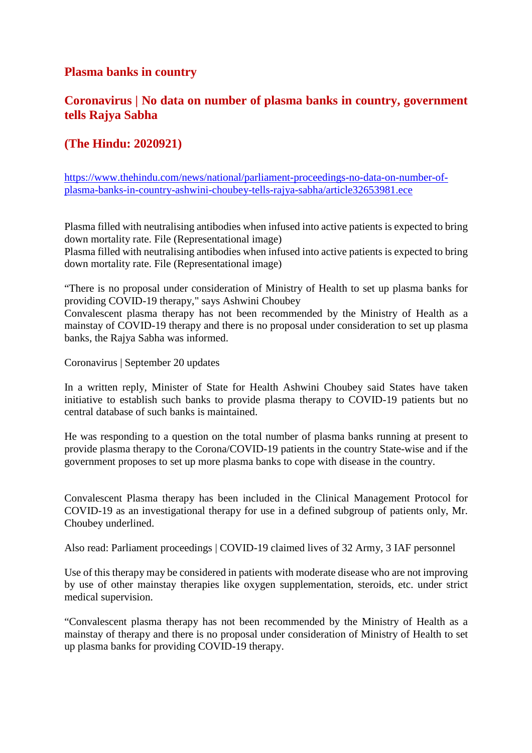#### **Plasma banks in country**

#### **Coronavirus | No data on number of plasma banks in country, government tells Rajya Sabha**

#### **(The Hindu: 2020921)**

https://www.thehindu.com/news/national/parliament-proceedings-no-data-on-number-ofplasma-banks-in-country-ashwini-choubey-tells-rajya-sabha/article32653981.ece

Plasma filled with neutralising antibodies when infused into active patients is expected to bring down mortality rate. File (Representational image)

Plasma filled with neutralising antibodies when infused into active patients is expected to bring down mortality rate. File (Representational image)

"There is no proposal under consideration of Ministry of Health to set up plasma banks for providing COVID-19 therapy," says Ashwini Choubey

Convalescent plasma therapy has not been recommended by the Ministry of Health as a mainstay of COVID-19 therapy and there is no proposal under consideration to set up plasma banks, the Rajya Sabha was informed.

Coronavirus | September 20 updates

In a written reply, Minister of State for Health Ashwini Choubey said States have taken initiative to establish such banks to provide plasma therapy to COVID-19 patients but no central database of such banks is maintained.

He was responding to a question on the total number of plasma banks running at present to provide plasma therapy to the Corona/COVID-19 patients in the country State-wise and if the government proposes to set up more plasma banks to cope with disease in the country.

Convalescent Plasma therapy has been included in the Clinical Management Protocol for COVID-19 as an investigational therapy for use in a defined subgroup of patients only, Mr. Choubey underlined.

Also read: Parliament proceedings | COVID-19 claimed lives of 32 Army, 3 IAF personnel

Use of this therapy may be considered in patients with moderate disease who are not improving by use of other mainstay therapies like oxygen supplementation, steroids, etc. under strict medical supervision.

"Convalescent plasma therapy has not been recommended by the Ministry of Health as a mainstay of therapy and there is no proposal under consideration of Ministry of Health to set up plasma banks for providing COVID-19 therapy.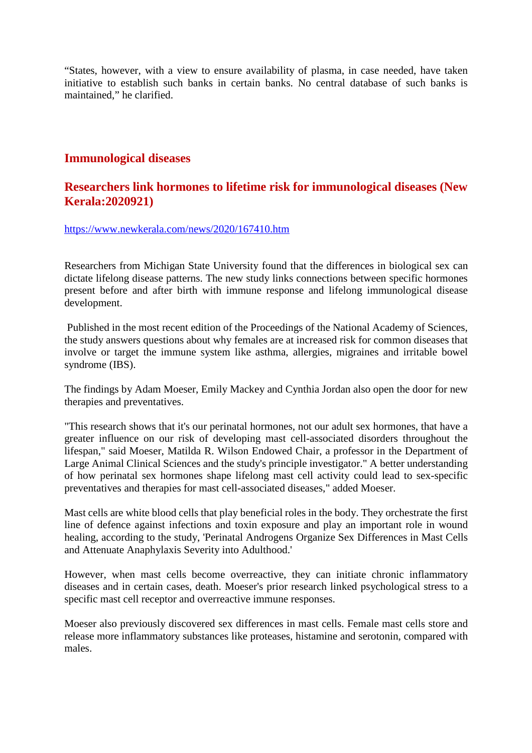"States, however, with a view to ensure availability of plasma, in case needed, have taken initiative to establish such banks in certain banks. No central database of such banks is maintained," he clarified.

#### **Immunological diseases**

#### **Researchers link hormones to lifetime risk for immunological diseases (New Kerala:2020921)**

https://www.newkerala.com/news/2020/167410.htm

Researchers from Michigan State University found that the differences in biological sex can dictate lifelong disease patterns. The new study links connections between specific hormones present before and after birth with immune response and lifelong immunological disease development.

Published in the most recent edition of the Proceedings of the National Academy of Sciences, the study answers questions about why females are at increased risk for common diseases that involve or target the immune system like asthma, allergies, migraines and irritable bowel syndrome (IBS).

The findings by Adam Moeser, Emily Mackey and Cynthia Jordan also open the door for new therapies and preventatives.

"This research shows that it's our perinatal hormones, not our adult sex hormones, that have a greater influence on our risk of developing mast cell-associated disorders throughout the lifespan," said Moeser, Matilda R. Wilson Endowed Chair, a professor in the Department of Large Animal Clinical Sciences and the study's principle investigator." A better understanding of how perinatal sex hormones shape lifelong mast cell activity could lead to sex-specific preventatives and therapies for mast cell-associated diseases," added Moeser.

Mast cells are white blood cells that play beneficial roles in the body. They orchestrate the first line of defence against infections and toxin exposure and play an important role in wound healing, according to the study, 'Perinatal Androgens Organize Sex Differences in Mast Cells and Attenuate Anaphylaxis Severity into Adulthood.'

However, when mast cells become overreactive, they can initiate chronic inflammatory diseases and in certain cases, death. Moeser's prior research linked psychological stress to a specific mast cell receptor and overreactive immune responses.

Moeser also previously discovered sex differences in mast cells. Female mast cells store and release more inflammatory substances like proteases, histamine and serotonin, compared with males.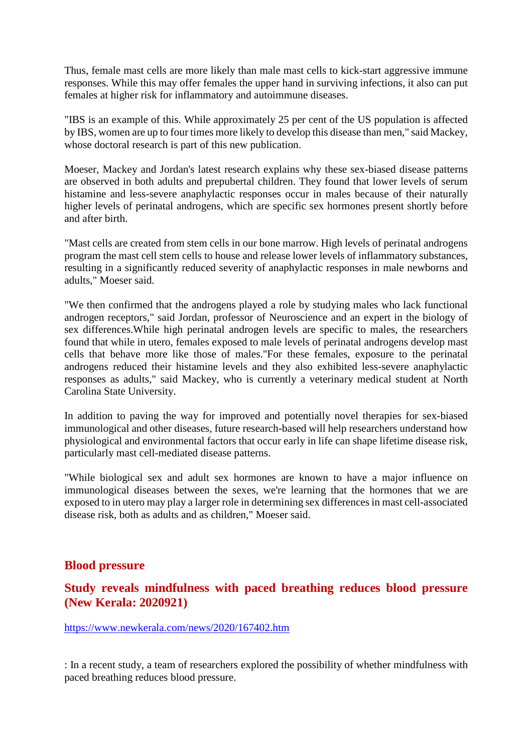Thus, female mast cells are more likely than male mast cells to kick-start aggressive immune responses. While this may offer females the upper hand in surviving infections, it also can put females at higher risk for inflammatory and autoimmune diseases.

"IBS is an example of this. While approximately 25 per cent of the US population is affected by IBS, women are up to four times more likely to develop this disease than men," said Mackey, whose doctoral research is part of this new publication.

Moeser, Mackey and Jordan's latest research explains why these sex-biased disease patterns are observed in both adults and prepubertal children. They found that lower levels of serum histamine and less-severe anaphylactic responses occur in males because of their naturally higher levels of perinatal androgens, which are specific sex hormones present shortly before and after birth.

"Mast cells are created from stem cells in our bone marrow. High levels of perinatal androgens program the mast cell stem cells to house and release lower levels of inflammatory substances, resulting in a significantly reduced severity of anaphylactic responses in male newborns and adults," Moeser said.

"We then confirmed that the androgens played a role by studying males who lack functional androgen receptors," said Jordan, professor of Neuroscience and an expert in the biology of sex differences.While high perinatal androgen levels are specific to males, the researchers found that while in utero, females exposed to male levels of perinatal androgens develop mast cells that behave more like those of males."For these females, exposure to the perinatal androgens reduced their histamine levels and they also exhibited less-severe anaphylactic responses as adults," said Mackey, who is currently a veterinary medical student at North Carolina State University.

In addition to paving the way for improved and potentially novel therapies for sex-biased immunological and other diseases, future research-based will help researchers understand how physiological and environmental factors that occur early in life can shape lifetime disease risk, particularly mast cell-mediated disease patterns.

"While biological sex and adult sex hormones are known to have a major influence on immunological diseases between the sexes, we're learning that the hormones that we are exposed to in utero may play a larger role in determining sex differences in mast cell-associated disease risk, both as adults and as children," Moeser said.

#### **Blood pressure**

#### **Study reveals mindfulness with paced breathing reduces blood pressure (New Kerala: 2020921)**

https://www.newkerala.com/news/2020/167402.htm

: In a recent study, a team of researchers explored the possibility of whether mindfulness with paced breathing reduces blood pressure.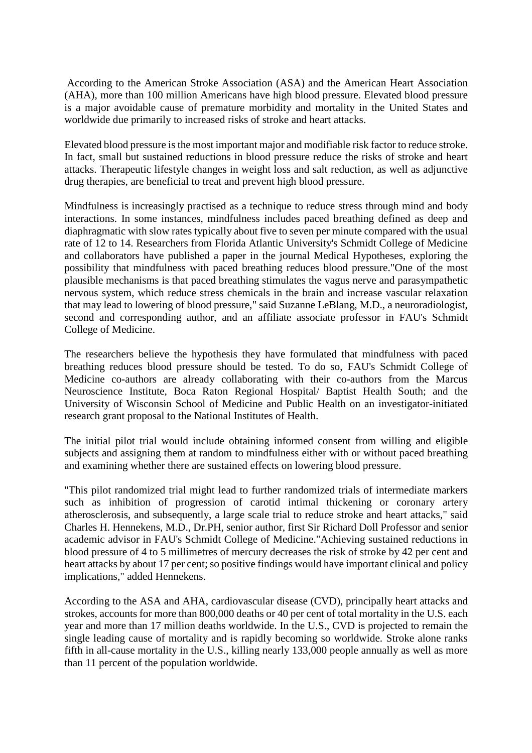According to the American Stroke Association (ASA) and the American Heart Association (AHA), more than 100 million Americans have high blood pressure. Elevated blood pressure is a major avoidable cause of premature morbidity and mortality in the United States and worldwide due primarily to increased risks of stroke and heart attacks.

Elevated blood pressure is the most important major and modifiable risk factor to reduce stroke. In fact, small but sustained reductions in blood pressure reduce the risks of stroke and heart attacks. Therapeutic lifestyle changes in weight loss and salt reduction, as well as adjunctive drug therapies, are beneficial to treat and prevent high blood pressure.

Mindfulness is increasingly practised as a technique to reduce stress through mind and body interactions. In some instances, mindfulness includes paced breathing defined as deep and diaphragmatic with slow rates typically about five to seven per minute compared with the usual rate of 12 to 14. Researchers from Florida Atlantic University's Schmidt College of Medicine and collaborators have published a paper in the journal Medical Hypotheses, exploring the possibility that mindfulness with paced breathing reduces blood pressure."One of the most plausible mechanisms is that paced breathing stimulates the vagus nerve and parasympathetic nervous system, which reduce stress chemicals in the brain and increase vascular relaxation that may lead to lowering of blood pressure," said Suzanne LeBlang, M.D., a neuroradiologist, second and corresponding author, and an affiliate associate professor in FAU's Schmidt College of Medicine.

The researchers believe the hypothesis they have formulated that mindfulness with paced breathing reduces blood pressure should be tested. To do so, FAU's Schmidt College of Medicine co-authors are already collaborating with their co-authors from the Marcus Neuroscience Institute, Boca Raton Regional Hospital/ Baptist Health South; and the University of Wisconsin School of Medicine and Public Health on an investigator-initiated research grant proposal to the National Institutes of Health.

The initial pilot trial would include obtaining informed consent from willing and eligible subjects and assigning them at random to mindfulness either with or without paced breathing and examining whether there are sustained effects on lowering blood pressure.

"This pilot randomized trial might lead to further randomized trials of intermediate markers such as inhibition of progression of carotid intimal thickening or coronary artery atherosclerosis, and subsequently, a large scale trial to reduce stroke and heart attacks," said Charles H. Hennekens, M.D., Dr.PH, senior author, first Sir Richard Doll Professor and senior academic advisor in FAU's Schmidt College of Medicine."Achieving sustained reductions in blood pressure of 4 to 5 millimetres of mercury decreases the risk of stroke by 42 per cent and heart attacks by about 17 per cent; so positive findings would have important clinical and policy implications," added Hennekens.

According to the ASA and AHA, cardiovascular disease (CVD), principally heart attacks and strokes, accounts for more than 800,000 deaths or 40 per cent of total mortality in the U.S. each year and more than 17 million deaths worldwide. In the U.S., CVD is projected to remain the single leading cause of mortality and is rapidly becoming so worldwide. Stroke alone ranks fifth in all-cause mortality in the U.S., killing nearly 133,000 people annually as well as more than 11 percent of the population worldwide.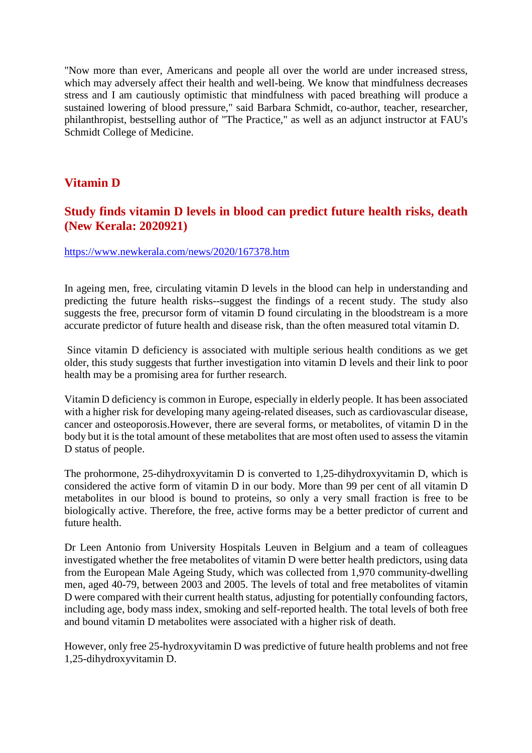"Now more than ever, Americans and people all over the world are under increased stress, which may adversely affect their health and well-being. We know that mindfulness decreases stress and I am cautiously optimistic that mindfulness with paced breathing will produce a sustained lowering of blood pressure," said Barbara Schmidt, co-author, teacher, researcher, philanthropist, bestselling author of "The Practice," as well as an adjunct instructor at FAU's Schmidt College of Medicine.

#### **Vitamin D**

#### **Study finds vitamin D levels in blood can predict future health risks, death (New Kerala: 2020921)**

#### https://www.newkerala.com/news/2020/167378.htm

In ageing men, free, circulating vitamin D levels in the blood can help in understanding and predicting the future health risks--suggest the findings of a recent study. The study also suggests the free, precursor form of vitamin D found circulating in the bloodstream is a more accurate predictor of future health and disease risk, than the often measured total vitamin D.

Since vitamin D deficiency is associated with multiple serious health conditions as we get older, this study suggests that further investigation into vitamin D levels and their link to poor health may be a promising area for further research.

Vitamin D deficiency is common in Europe, especially in elderly people. It has been associated with a higher risk for developing many ageing-related diseases, such as cardiovascular disease, cancer and osteoporosis.However, there are several forms, or metabolites, of vitamin D in the body but it is the total amount of these metabolites that are most often used to assess the vitamin D status of people.

The prohormone, 25-dihydroxyvitamin D is converted to 1,25-dihydroxyvitamin D, which is considered the active form of vitamin D in our body. More than 99 per cent of all vitamin D metabolites in our blood is bound to proteins, so only a very small fraction is free to be biologically active. Therefore, the free, active forms may be a better predictor of current and future health.

Dr Leen Antonio from University Hospitals Leuven in Belgium and a team of colleagues investigated whether the free metabolites of vitamin D were better health predictors, using data from the European Male Ageing Study, which was collected from 1,970 community-dwelling men, aged 40-79, between 2003 and 2005. The levels of total and free metabolites of vitamin D were compared with their current health status, adjusting for potentially confounding factors, including age, body mass index, smoking and self-reported health. The total levels of both free and bound vitamin D metabolites were associated with a higher risk of death.

However, only free 25-hydroxyvitamin D was predictive of future health problems and not free 1,25-dihydroxyvitamin D.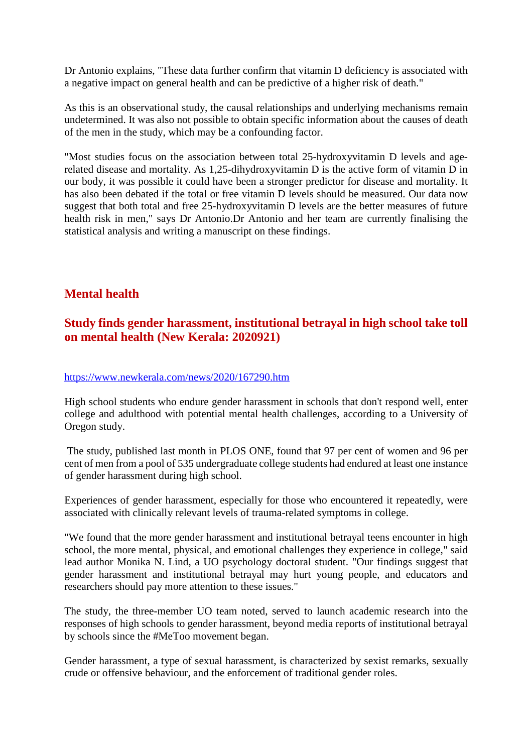Dr Antonio explains, "These data further confirm that vitamin D deficiency is associated with a negative impact on general health and can be predictive of a higher risk of death."

As this is an observational study, the causal relationships and underlying mechanisms remain undetermined. It was also not possible to obtain specific information about the causes of death of the men in the study, which may be a confounding factor.

"Most studies focus on the association between total 25-hydroxyvitamin D levels and agerelated disease and mortality. As 1,25-dihydroxyvitamin D is the active form of vitamin D in our body, it was possible it could have been a stronger predictor for disease and mortality. It has also been debated if the total or free vitamin D levels should be measured. Our data now suggest that both total and free 25-hydroxyvitamin D levels are the better measures of future health risk in men," says Dr Antonio.Dr Antonio and her team are currently finalising the statistical analysis and writing a manuscript on these findings.

#### **Mental health**

#### **Study finds gender harassment, institutional betrayal in high school take toll on mental health (New Kerala: 2020921)**

#### https://www.newkerala.com/news/2020/167290.htm

High school students who endure gender harassment in schools that don't respond well, enter college and adulthood with potential mental health challenges, according to a University of Oregon study.

The study, published last month in PLOS ONE, found that 97 per cent of women and 96 per cent of men from a pool of 535 undergraduate college students had endured at least one instance of gender harassment during high school.

Experiences of gender harassment, especially for those who encountered it repeatedly, were associated with clinically relevant levels of trauma-related symptoms in college.

"We found that the more gender harassment and institutional betrayal teens encounter in high school, the more mental, physical, and emotional challenges they experience in college," said lead author Monika N. Lind, a UO psychology doctoral student. "Our findings suggest that gender harassment and institutional betrayal may hurt young people, and educators and researchers should pay more attention to these issues."

The study, the three-member UO team noted, served to launch academic research into the responses of high schools to gender harassment, beyond media reports of institutional betrayal by schools since the #MeToo movement began.

Gender harassment, a type of sexual harassment, is characterized by sexist remarks, sexually crude or offensive behaviour, and the enforcement of traditional gender roles.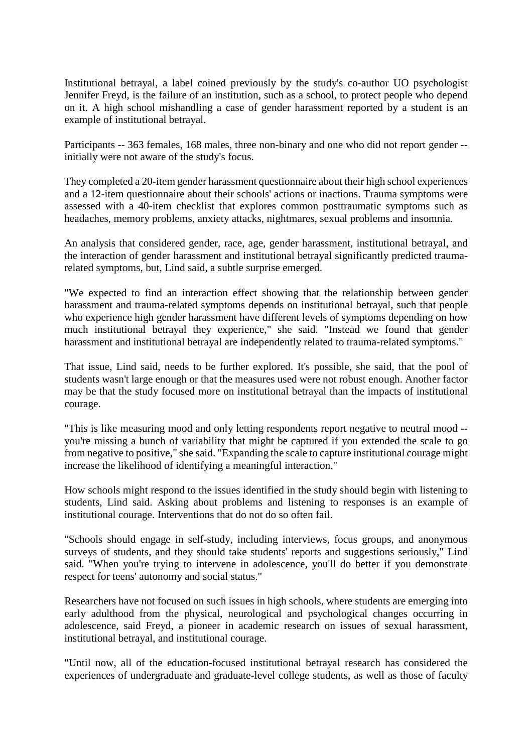Institutional betrayal, a label coined previously by the study's co-author UO psychologist Jennifer Freyd, is the failure of an institution, such as a school, to protect people who depend on it. A high school mishandling a case of gender harassment reported by a student is an example of institutional betrayal.

Participants -- 363 females, 168 males, three non-binary and one who did not report gender - initially were not aware of the study's focus.

They completed a 20-item gender harassment questionnaire about their high school experiences and a 12-item questionnaire about their schools' actions or inactions. Trauma symptoms were assessed with a 40-item checklist that explores common posttraumatic symptoms such as headaches, memory problems, anxiety attacks, nightmares, sexual problems and insomnia.

An analysis that considered gender, race, age, gender harassment, institutional betrayal, and the interaction of gender harassment and institutional betrayal significantly predicted traumarelated symptoms, but, Lind said, a subtle surprise emerged.

"We expected to find an interaction effect showing that the relationship between gender harassment and trauma-related symptoms depends on institutional betrayal, such that people who experience high gender harassment have different levels of symptoms depending on how much institutional betrayal they experience," she said. "Instead we found that gender harassment and institutional betrayal are independently related to trauma-related symptoms."

That issue, Lind said, needs to be further explored. It's possible, she said, that the pool of students wasn't large enough or that the measures used were not robust enough. Another factor may be that the study focused more on institutional betrayal than the impacts of institutional courage.

"This is like measuring mood and only letting respondents report negative to neutral mood - you're missing a bunch of variability that might be captured if you extended the scale to go from negative to positive," she said. "Expanding the scale to capture institutional courage might increase the likelihood of identifying a meaningful interaction."

How schools might respond to the issues identified in the study should begin with listening to students, Lind said. Asking about problems and listening to responses is an example of institutional courage. Interventions that do not do so often fail.

"Schools should engage in self-study, including interviews, focus groups, and anonymous surveys of students, and they should take students' reports and suggestions seriously," Lind said. "When you're trying to intervene in adolescence, you'll do better if you demonstrate respect for teens' autonomy and social status."

Researchers have not focused on such issues in high schools, where students are emerging into early adulthood from the physical, neurological and psychological changes occurring in adolescence, said Freyd, a pioneer in academic research on issues of sexual harassment, institutional betrayal, and institutional courage.

"Until now, all of the education-focused institutional betrayal research has considered the experiences of undergraduate and graduate-level college students, as well as those of faculty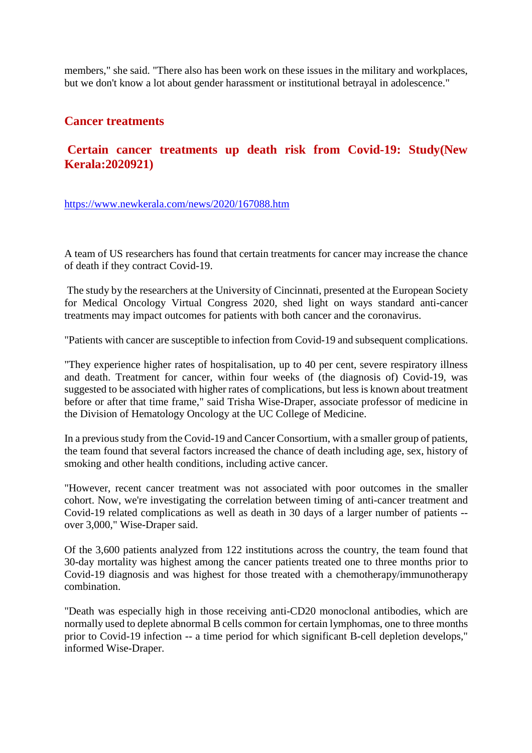members," she said. "There also has been work on these issues in the military and workplaces, but we don't know a lot about gender harassment or institutional betrayal in adolescence."

#### **Cancer treatments**

#### **Certain cancer treatments up death risk from Covid-19: Study(New Kerala:2020921)**

https://www.newkerala.com/news/2020/167088.htm

A team of US researchers has found that certain treatments for cancer may increase the chance of death if they contract Covid-19.

The study by the researchers at the University of Cincinnati, presented at the European Society for Medical Oncology Virtual Congress 2020, shed light on ways standard anti-cancer treatments may impact outcomes for patients with both cancer and the coronavirus.

"Patients with cancer are susceptible to infection from Covid-19 and subsequent complications.

"They experience higher rates of hospitalisation, up to 40 per cent, severe respiratory illness and death. Treatment for cancer, within four weeks of (the diagnosis of) Covid-19, was suggested to be associated with higher rates of complications, but less is known about treatment before or after that time frame," said Trisha Wise-Draper, associate professor of medicine in the Division of Hematology Oncology at the UC College of Medicine.

In a previous study from the Covid-19 and Cancer Consortium, with a smaller group of patients, the team found that several factors increased the chance of death including age, sex, history of smoking and other health conditions, including active cancer.

"However, recent cancer treatment was not associated with poor outcomes in the smaller cohort. Now, we're investigating the correlation between timing of anti-cancer treatment and Covid-19 related complications as well as death in 30 days of a larger number of patients - over 3,000," Wise-Draper said.

Of the 3,600 patients analyzed from 122 institutions across the country, the team found that 30-day mortality was highest among the cancer patients treated one to three months prior to Covid-19 diagnosis and was highest for those treated with a chemotherapy/immunotherapy combination.

"Death was especially high in those receiving anti-CD20 monoclonal antibodies, which are normally used to deplete abnormal B cells common for certain lymphomas, one to three months prior to Covid-19 infection -- a time period for which significant B-cell depletion develops," informed Wise-Draper.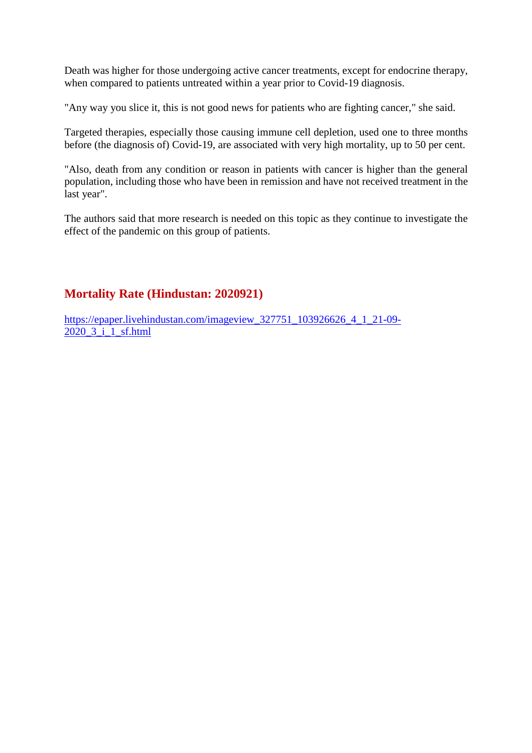Death was higher for those undergoing active cancer treatments, except for endocrine therapy, when compared to patients untreated within a year prior to Covid-19 diagnosis.

"Any way you slice it, this is not good news for patients who are fighting cancer," she said.

Targeted therapies, especially those causing immune cell depletion, used one to three months before (the diagnosis of) Covid-19, are associated with very high mortality, up to 50 per cent.

"Also, death from any condition or reason in patients with cancer is higher than the general population, including those who have been in remission and have not received treatment in the last year".

The authors said that more research is needed on this topic as they continue to investigate the effect of the pandemic on this group of patients.

#### **Mortality Rate (Hindustan: 2020921)**

https://epaper.livehindustan.com/imageview\_327751\_103926626\_4\_1\_21-09- 2020\_3\_i\_1\_sf.html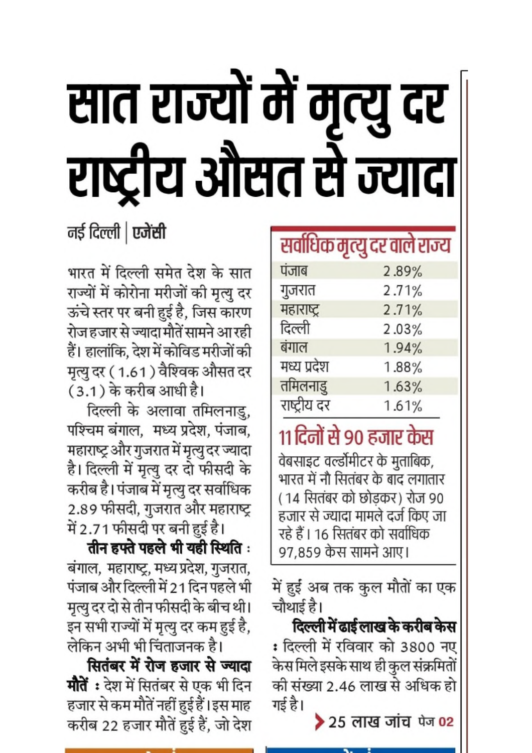# सात राज्यों में मृत्यु दर राष्ट्रीय औसत से ज्यादा

### नई दिल्ली | एजेंसी

भारत में दिल्ली समेत देश के सात राज्यों में कोरोना मरीजों की मृत्यु दर ऊंचे स्तर पर बनी हुई है, जिस कारण रोज हजार से ज्यादा मौतें सामने आ रही हैं। हालांकि, देश में कोविड मरीजों की मृत्यु दर (1.61) वैश्विक औसत दर (3.1) के करीब आधी है।

दिल्ली के अलावा तमिलनाडु, पश्चिम बंगाल, मध्य प्रदेश, पंजाब, महाराष्ट्र और गुजरात में मृत्यु दर ज्यादा है। दिल्ली में मृत्यु दर दो फीसदी के करीब है। पंजाब में मृत्यु दर सर्वाधिक 2.89 फीसदी, गुजरात और महाराष्ट्र में 2.71 फीसदी पर बनी हुई है।

तीन हफ्ते पहले भी यही स्थिति: बंगाल, महाराष्ट्र, मध्य प्रदेश, गुजरात, पंजाब और दिल्ली में 21 दिन पहले भी मृत्यु दर दो से तीन फीसदी के बीच थी। इन सभी राज्यों में मृत्यु दर कम हुई है, लेकिन अभी भी चिंताजनक है।

सितंबर में रोज हजार से ज्यादा **मौतें :** देश में सितंबर से एक भी दिन हजार से कम मौतें नहीं हुई हैं। इस माह करीब 22 हजार मौतें हुई हैं, जो देश

## सर्वाधिक मृत्यु दर वाले राज्य

| पंजाब        | 2.89% |
|--------------|-------|
| गुजरात       | 2.71% |
| महाराष्ट्र   | 2.71% |
| दिल्ली       | 2.03% |
| बंगाल        | 1.94% |
| मध्य प्रदेश  | 1.88% |
| तमिलनाडु     | 1.63% |
| राष्ट्रीय दर | 1.61% |

# ११ दिनों से ९० हजार केस

वेबसाइट वर्ल्डोमीटर के मुताबिक, भारत में नौ सितंबर के बाद लगातार (14 सितंबर को छोड़कर) रोज 90 हजार से ज्यादा मामले दर्ज किए जा रहे हैं। 16 सितंबर को सर्वाधिक ९७,८५९ केस सामने आए।

में हुई अब तक कुल मौतों का एक चौथाई है।

दिल्ली में ढाई लाख के करीब केस : दिल्ली में रविवार को 3800 नए केस मिले इसके साथ ही कुल संक्रमितों की संख्या 2.46 लाख से अधिक हो गई है।

▶ 25 लाख जांच पेज 02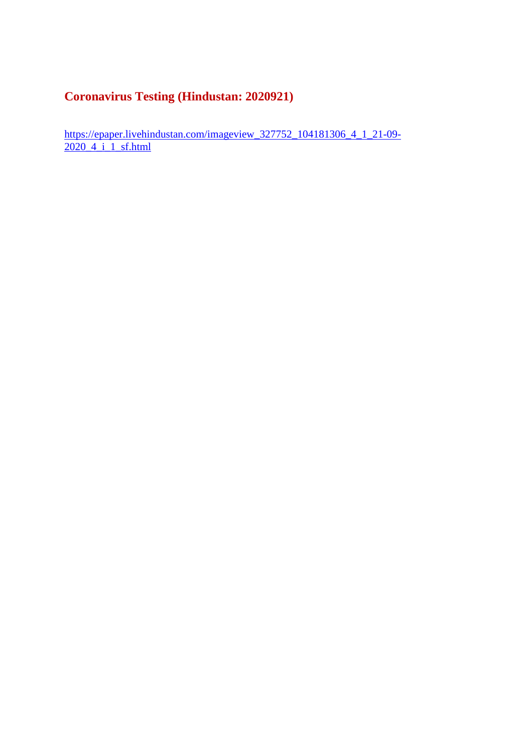#### **Coronavirus Testing (Hindustan: 2020921)**

https://epaper.livehindustan.com/imageview\_327752\_104181306\_4\_1\_21-09-2020\_4\_i\_1\_sf.html